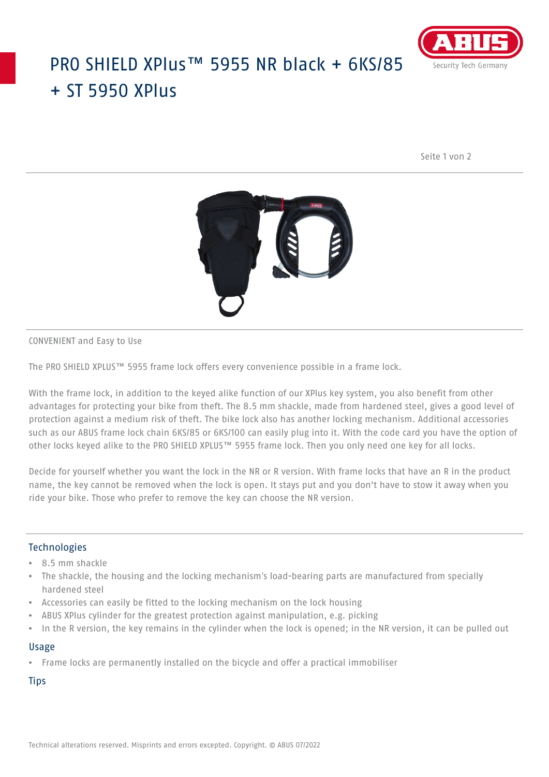

## PRO SHIELD XPlus™ 5955 NR black + 6KS/85  $+$  ST 5950 XPlus

Seite 1 von 2



CONVENIENT and Easy to Use

The PRO SHIELD XPLUS™ 5955 frame lock offers every convenience possible in a frame lock.

With the frame lock, in addition to the keyed alike function of our XPlus key system, you also benefit from other advantages for protecting your bike from theft. The 8.5 mm shackle, made from hardened steel, gives a good level of protection against a medium risk of theft. The bike lock also has another locking mechanism. Additional accessories such as our ABUS frame lock chain 6KS/85 or 6KS/100 can easily plug into it. With the code card you have the option of other locks keyed alike to the PRO SHIELD XPLUS™ 5955 frame lock. Then you only need one key for all locks.

Decide for yourself whether you want the lock in the NR or R version. With frame locks that have an R in the product name, the key cannot be removed when the lock is open. It stays put and you don't have to stow it away when you ride your bike. Those who prefer to remove the key can choose the NR version.

### Technologies

- 8.5 mm shackle
- The shackle, the housing and the locking mechanism's load-bearing parts are manufactured from specially hardened steel
- Accessories can easily be fitted to the locking mechanism on the lock housing
- ABUS XPlus cylinder for the greatest protection against manipulation, e.g. picking
- In the R version, the key remains in the cylinder when the lock is opened; in the NR version, it can be pulled out

### Usage

• Frame locks are permanently installed on the bicycle and offer a practical immobiliser

**Tips**